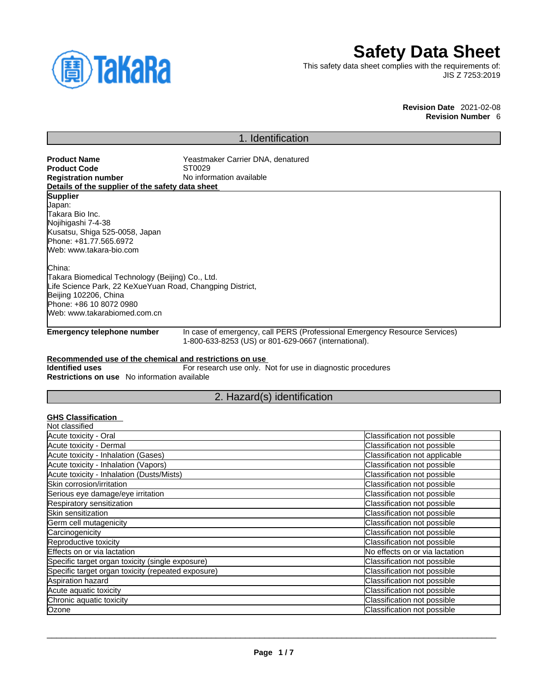

# **Safety Data Sheet**

This safety data sheet complies with the requirements of: JIS Z 7253:2019

> **Revision Date** 2021-02-08 **Revision Number** 6

# 1. Identification

| <b>Product Name</b>                                       | Yeastmaker Carrier DNA, denatured                           |                                                                            |
|-----------------------------------------------------------|-------------------------------------------------------------|----------------------------------------------------------------------------|
| <b>Product Code</b>                                       | ST0029                                                      |                                                                            |
| <b>Registration number</b>                                | No information available                                    |                                                                            |
| Details of the supplier of the safety data sheet          |                                                             |                                                                            |
| <b>Supplier</b>                                           |                                                             |                                                                            |
| Japan:                                                    |                                                             |                                                                            |
| lTakara Bio Inc.                                          |                                                             |                                                                            |
| Nojihigashi 7-4-38                                        |                                                             |                                                                            |
| Kusatsu, Shiga 525-0058, Japan                            |                                                             |                                                                            |
| Phone: +81.77.565.6972                                    |                                                             |                                                                            |
| Web: www.takara-bio.com                                   |                                                             |                                                                            |
| China:                                                    |                                                             |                                                                            |
| Takara Biomedical Technology (Beijing) Co., Ltd.          |                                                             |                                                                            |
| Life Science Park, 22 KeXueYuan Road, Changping District, |                                                             |                                                                            |
| Beijing 102206, China                                     |                                                             |                                                                            |
| Phone: +86 10 8072 0980                                   |                                                             |                                                                            |
| Web: www.takarabiomed.com.cn                              |                                                             |                                                                            |
| <b>Emergency telephone number</b>                         | 1-800-633-8253 (US) or 801-629-0667 (international).        | In case of emergency, call PERS (Professional Emergency Resource Services) |
| Recommended use of the chemical and restrictions on use   |                                                             |                                                                            |
| <b>Identified uses</b>                                    | For research use only. Not for use in diagnostic procedures |                                                                            |
| <b>Restrictions on use</b> No information available       |                                                             |                                                                            |
|                                                           | 2. Hazard(s) identification                                 |                                                                            |
|                                                           |                                                             |                                                                            |
| <b>GHS Classification</b>                                 |                                                             |                                                                            |
| Not classified                                            |                                                             |                                                                            |
| Acute toxicity - Oral                                     |                                                             | Classification not possible                                                |
| Acute toxicity - Dermal                                   |                                                             | Classification not possible                                                |
| Acute toxicity - Inhalation (Gases)                       |                                                             | Classification not applicable                                              |
| Acute toxicity - Inhalation (Vapors)                      |                                                             | Classification not possible                                                |

| Acute toxicity - Inhalation (Gases)                | Classification not applicable  |
|----------------------------------------------------|--------------------------------|
| Acute toxicity - Inhalation (Vapors)               | Classification not possible    |
| Acute toxicity - Inhalation (Dusts/Mists)          | Classification not possible    |
| Skin corrosion/irritation                          | Classification not possible    |
| Serious eye damage/eye irritation                  | Classification not possible    |
| Respiratory sensitization                          | Classification not possible    |
| Skin sensitization                                 | Classification not possible    |
| Germ cell mutagenicity                             | Classification not possible    |
| Carcinogenicity                                    | Classification not possible    |
| Reproductive toxicity                              | Classification not possible    |
| Effects on or via lactation                        | No effects on or via lactation |
| Specific target organ toxicity (single exposure)   | Classification not possible    |
| Specific target organ toxicity (repeated exposure) | Classification not possible    |
| Aspiration hazard                                  | Classification not possible    |
| Acute aquatic toxicity                             | Classification not possible    |
| Chronic aquatic toxicity                           | Classification not possible    |
| Ozone                                              | Classification not possible    |
|                                                    |                                |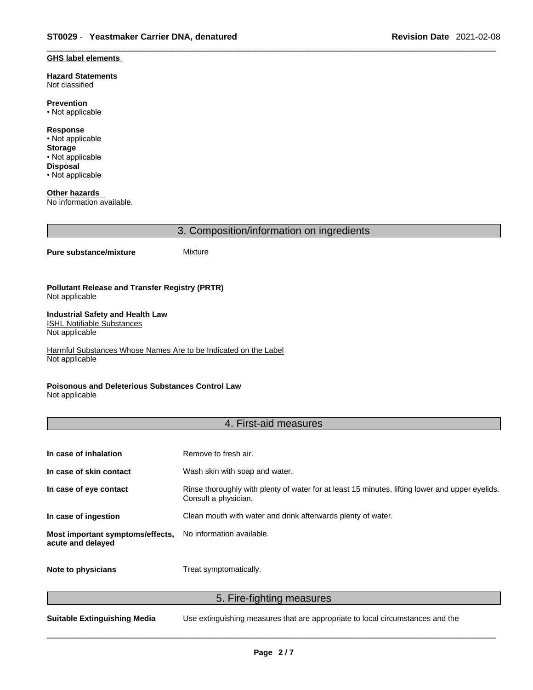#### **GHS label elements**

**Hazard Statements**  Not classified

**Prevention** • Not applicable

**Response** • Not applicable **Storage** • Not applicable **Disposal** • Not applicable

**Other hazards**  No information available.

3. Composition/information on ingredients

#### **Pure substance/mixture** Mixture

#### **Pollutant Release and Transfer Registry (PRTR)** Not applicable

#### **Industrial Safety and Health Law**  ISHL Notifiable Substances

Not applicable

Harmful Substances Whose Names Are to be Indicated on the Label Not applicable

### **Poisonous and Deleterious Substances Control Law**

Not applicable

## 4. First-aid measures

| In case of inhalation                                 | Remove to fresh air.                                                                                                    |
|-------------------------------------------------------|-------------------------------------------------------------------------------------------------------------------------|
| In case of skin contact                               | Wash skin with soap and water.                                                                                          |
| In case of eye contact                                | Rinse thoroughly with plenty of water for at least 15 minutes, lifting lower and upper eyelids.<br>Consult a physician. |
| In case of ingestion                                  | Clean mouth with water and drink afterwards plenty of water.                                                            |
| Most important symptoms/effects,<br>acute and delayed | No information available.                                                                                               |
| Note to physicians                                    | Treat symptomatically.                                                                                                  |

5. Fire-fighting measures

**Suitable Extinguishing Media** Use extinguishing measures that are appropriate to local circumstances and the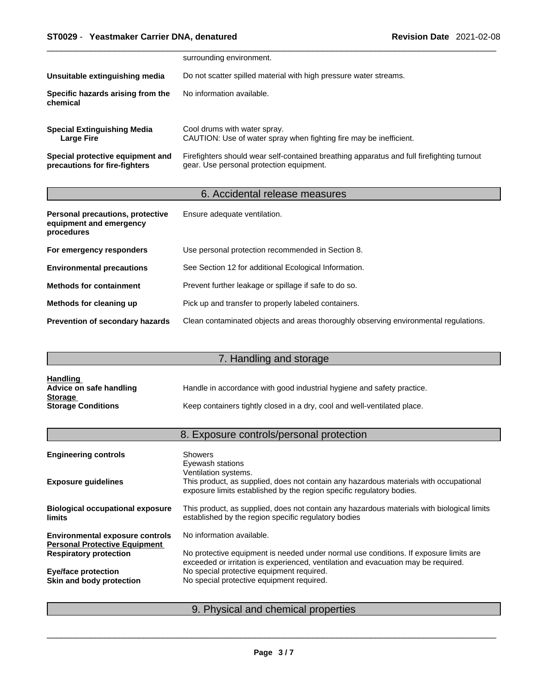## \_\_\_\_\_\_\_\_\_\_\_\_\_\_\_\_\_\_\_\_\_\_\_\_\_\_\_\_\_\_\_\_\_\_\_\_\_\_\_\_\_\_\_\_\_\_\_\_\_\_\_\_\_\_\_\_\_\_\_\_\_\_\_\_\_\_\_\_\_\_\_\_\_\_\_\_\_\_\_\_\_\_\_\_\_\_\_\_\_\_\_\_\_ **ST0029** - **Yeastmaker Carrier DNA, denatured Revision Date** 2021-02-08

|                                                                   | surrounding environment.                                                                                                              |
|-------------------------------------------------------------------|---------------------------------------------------------------------------------------------------------------------------------------|
| Unsuitable extinguishing media                                    | Do not scatter spilled material with high pressure water streams.                                                                     |
| Specific hazards arising from the<br>chemical                     | No information available.                                                                                                             |
| <b>Special Extinguishing Media</b><br><b>Large Fire</b>           | Cool drums with water spray.<br>CAUTION: Use of water spray when fighting fire may be inefficient.                                    |
| Special protective equipment and<br>precautions for fire-fighters | Firefighters should wear self-contained breathing apparatus and full firefighting turnout<br>gear. Use personal protection equipment. |

# 6. Accidental release measures

| Personal precautions, protective<br>equipment and emergency<br>procedures | Ensure adequate ventilation.                                                         |
|---------------------------------------------------------------------------|--------------------------------------------------------------------------------------|
| For emergency responders                                                  | Use personal protection recommended in Section 8.                                    |
| <b>Environmental precautions</b>                                          | See Section 12 for additional Ecological Information.                                |
| <b>Methods for containment</b>                                            | Prevent further leakage or spillage if safe to do so.                                |
| Methods for cleaning up                                                   | Pick up and transfer to properly labeled containers.                                 |
| <b>Prevention of secondary hazards</b>                                    | Clean contaminated objects and areas thoroughly observing environmental regulations. |

# 7. Handling and storage

| <b>Handling</b>           |                                                                          |
|---------------------------|--------------------------------------------------------------------------|
| Advice on safe handling   | Handle in accordance with good industrial hygiene and safety practice.   |
| <b>Storage</b>            |                                                                          |
| <b>Storage Conditions</b> | Keep containers tightly closed in a dry, cool and well-ventilated place. |

# 8. Exposure controls/personal protection

| <b>Engineering controls</b>                                                    | <b>Showers</b><br>Eyewash stations                                                                                                                                                     |
|--------------------------------------------------------------------------------|----------------------------------------------------------------------------------------------------------------------------------------------------------------------------------------|
| <b>Exposure guidelines</b>                                                     | Ventilation systems.<br>This product, as supplied, does not contain any hazardous materials with occupational<br>exposure limits established by the region specific regulatory bodies. |
| <b>Biological occupational exposure</b><br><b>limits</b>                       | This product, as supplied, does not contain any hazardous materials with biological limits<br>established by the region specific regulatory bodies                                     |
| <b>Environmental exposure controls</b><br><b>Personal Protective Equipment</b> | No information available.                                                                                                                                                              |
| <b>Respiratory protection</b>                                                  | No protective equipment is needed under normal use conditions. If exposure limits are<br>exceeded or irritation is experienced, ventilation and evacuation may be required.            |
| <b>Eye/face protection</b>                                                     | No special protective equipment required.                                                                                                                                              |
| Skin and body protection                                                       | No special protective equipment required.                                                                                                                                              |
|                                                                                |                                                                                                                                                                                        |

# 9. Physical and chemical properties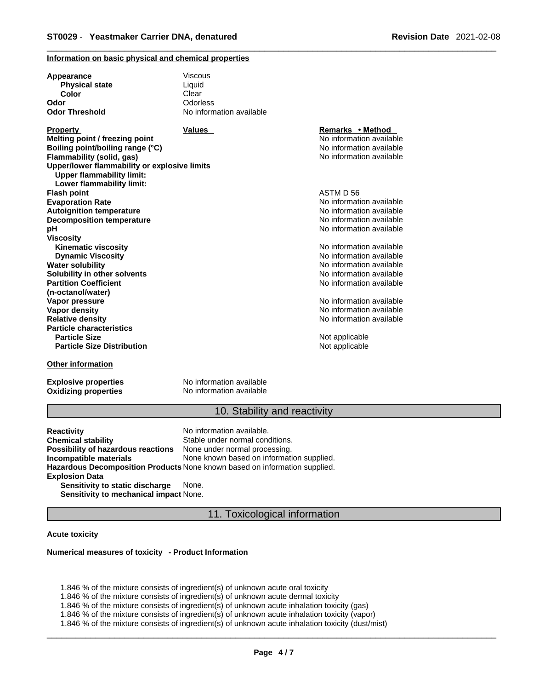#### **Information on basic physical and chemical properties**

| Appearance<br><b>Physical state</b>          | Viscous<br>Liquid        |                          |
|----------------------------------------------|--------------------------|--------------------------|
| Color                                        | Clear                    |                          |
| Odor                                         | Odorless                 |                          |
| <b>Odor Threshold</b>                        | No information available |                          |
|                                              |                          |                          |
| <b>Property</b>                              | <b>Values</b>            | Remarks • Method         |
| Melting point / freezing point               |                          | No information available |
| Boiling point/boiling range (°C)             |                          | No information available |
| Flammability (solid, gas)                    |                          | No information available |
| Upper/lower flammability or explosive limits |                          |                          |
| <b>Upper flammability limit:</b>             |                          |                          |
| Lower flammability limit:                    |                          |                          |
| <b>Flash point</b>                           |                          | ASTM D 56                |
| <b>Evaporation Rate</b>                      |                          | No information available |
| <b>Autoignition temperature</b>              |                          | No information available |
| <b>Decomposition temperature</b>             |                          | No information available |
| рH                                           |                          | No information available |
| <b>Viscosity</b>                             |                          |                          |
| <b>Kinematic viscosity</b>                   |                          | No information available |
| <b>Dynamic Viscosity</b>                     |                          | No information available |
| <b>Water solubility</b>                      |                          | No information available |
| Solubility in other solvents                 |                          | No information available |
| <b>Partition Coefficient</b>                 |                          | No information available |
| (n-octanol/water)                            |                          |                          |
| Vapor pressure                               |                          | No information available |
| <b>Vapor density</b>                         |                          | No information available |
| <b>Relative density</b>                      |                          | No information available |
| <b>Particle characteristics</b>              |                          |                          |
| <b>Particle Size</b>                         |                          | Not applicable           |
| <b>Particle Size Distribution</b>            |                          | Not applicable           |
| <b>Other information</b>                     |                          |                          |

**Oxidizing properties** No information available

**Explosive properties** No information available

# 10. Stability and reactivity

**Reactivity Reactivity Reactivity Chemical stability No information available.**<br> **Chemical stability Reaction** Stable under normal cond Stable under normal conditions.<br>None under normal processing. **Possibility of hazardous reactions Incompatible materials** None known based on information supplied. **Hazardous Decomposition Products** None known based on information supplied. **Explosion Data Sensitivity to static discharge** None. **Sensitivity to mechanical impact** None.

11. Toxicological information

### **Acute toxicity**

### **Numerical measures of toxicity - Product Information**

1.846 % of the mixture consists of ingredient(s) of unknown acute oral toxicity

1.846 % of the mixture consists of ingredient(s) of unknown acute dermal toxicity

1.846 % of the mixture consists of ingredient(s) of unknown acute inhalation toxicity (gas)

1.846 % of the mixture consists of ingredient(s) of unknown acute inhalation toxicity (vapor)

1.846 % of the mixture consists of ingredient(s) ofunknown acute inhalation toxicity (dust/mist)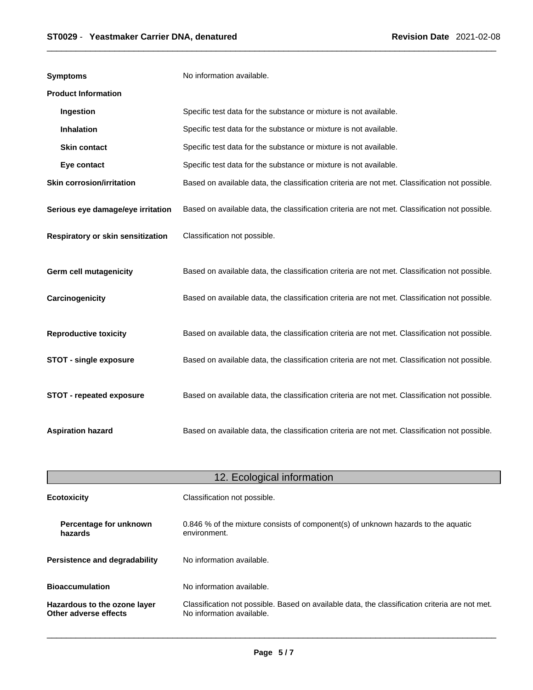| <b>Symptoms</b>                   | No information available.                                                                      |
|-----------------------------------|------------------------------------------------------------------------------------------------|
| <b>Product Information</b>        |                                                                                                |
| Ingestion                         | Specific test data for the substance or mixture is not available.                              |
| <b>Inhalation</b>                 | Specific test data for the substance or mixture is not available.                              |
| <b>Skin contact</b>               | Specific test data for the substance or mixture is not available.                              |
| Eye contact                       | Specific test data for the substance or mixture is not available.                              |
| <b>Skin corrosion/irritation</b>  | Based on available data, the classification criteria are not met. Classification not possible. |
| Serious eye damage/eye irritation | Based on available data, the classification criteria are not met. Classification not possible. |
| Respiratory or skin sensitization | Classification not possible.                                                                   |
| <b>Germ cell mutagenicity</b>     | Based on available data, the classification criteria are not met. Classification not possible. |
| Carcinogenicity                   | Based on available data, the classification criteria are not met. Classification not possible. |
| <b>Reproductive toxicity</b>      | Based on available data, the classification criteria are not met. Classification not possible. |
| <b>STOT - single exposure</b>     | Based on available data, the classification criteria are not met. Classification not possible. |
| STOT - repeated exposure          | Based on available data, the classification criteria are not met. Classification not possible. |
| <b>Aspiration hazard</b>          | Based on available data, the classification criteria are not met. Classification not possible. |

| 12. Ecological information                            |                                                                                                                             |  |
|-------------------------------------------------------|-----------------------------------------------------------------------------------------------------------------------------|--|
| <b>Ecotoxicity</b>                                    | Classification not possible.                                                                                                |  |
| Percentage for unknown<br>hazards                     | 0.846 % of the mixture consists of component(s) of unknown hazards to the aquatic<br>environment.                           |  |
| <b>Persistence and degradability</b>                  | No information available.                                                                                                   |  |
| <b>Bioaccumulation</b>                                | No information available.                                                                                                   |  |
| Hazardous to the ozone layer<br>Other adverse effects | Classification not possible. Based on available data, the classification criteria are not met.<br>No information available. |  |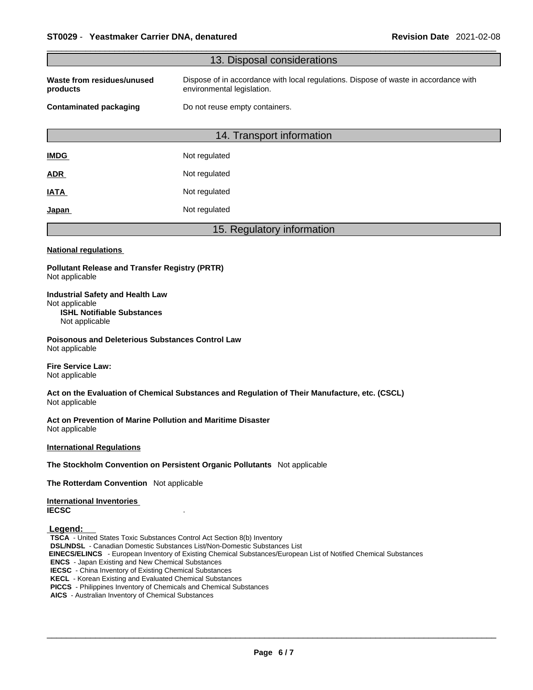|                                                                                                                                                                                                                                                                                                                                                                                                                                                                                                      | 13. Disposal considerations                                                                                        |
|------------------------------------------------------------------------------------------------------------------------------------------------------------------------------------------------------------------------------------------------------------------------------------------------------------------------------------------------------------------------------------------------------------------------------------------------------------------------------------------------------|--------------------------------------------------------------------------------------------------------------------|
| Waste from residues/unused<br>products                                                                                                                                                                                                                                                                                                                                                                                                                                                               | Dispose of in accordance with local regulations. Dispose of waste in accordance with<br>environmental legislation. |
| <b>Contaminated packaging</b>                                                                                                                                                                                                                                                                                                                                                                                                                                                                        | Do not reuse empty containers.                                                                                     |
|                                                                                                                                                                                                                                                                                                                                                                                                                                                                                                      | 14. Transport information                                                                                          |
| <b>IMDG</b>                                                                                                                                                                                                                                                                                                                                                                                                                                                                                          | Not regulated                                                                                                      |
|                                                                                                                                                                                                                                                                                                                                                                                                                                                                                                      | Not regulated                                                                                                      |
| <u>ADR</u>                                                                                                                                                                                                                                                                                                                                                                                                                                                                                           |                                                                                                                    |
| IATA                                                                                                                                                                                                                                                                                                                                                                                                                                                                                                 | Not regulated                                                                                                      |
| <u>Japan</u>                                                                                                                                                                                                                                                                                                                                                                                                                                                                                         | Not regulated                                                                                                      |
|                                                                                                                                                                                                                                                                                                                                                                                                                                                                                                      | 15. Regulatory information                                                                                         |
| <b>National regulations</b>                                                                                                                                                                                                                                                                                                                                                                                                                                                                          |                                                                                                                    |
| <b>Pollutant Release and Transfer Registry (PRTR)</b><br>Not applicable                                                                                                                                                                                                                                                                                                                                                                                                                              |                                                                                                                    |
| <b>Industrial Safety and Health Law</b><br>Not applicable<br><b>ISHL Notifiable Substances</b><br>Not applicable                                                                                                                                                                                                                                                                                                                                                                                     |                                                                                                                    |
| <b>Poisonous and Deleterious Substances Control Law</b><br>Not applicable                                                                                                                                                                                                                                                                                                                                                                                                                            |                                                                                                                    |
| <b>Fire Service Law:</b><br>Not applicable                                                                                                                                                                                                                                                                                                                                                                                                                                                           |                                                                                                                    |
| Not applicable                                                                                                                                                                                                                                                                                                                                                                                                                                                                                       | Act on the Evaluation of Chemical Substances and Regulation of Their Manufacture, etc. (CSCL)                      |
| Act on Prevention of Marine Pollution and Maritime Disaster<br>Not applicable                                                                                                                                                                                                                                                                                                                                                                                                                        |                                                                                                                    |
| <b>International Regulations</b>                                                                                                                                                                                                                                                                                                                                                                                                                                                                     |                                                                                                                    |
|                                                                                                                                                                                                                                                                                                                                                                                                                                                                                                      | The Stockholm Convention on Persistent Organic Pollutants Not applicable                                           |
| The Rotterdam Convention Not applicable                                                                                                                                                                                                                                                                                                                                                                                                                                                              |                                                                                                                    |
| <b>International Inventories</b><br><b>IECSC</b>                                                                                                                                                                                                                                                                                                                                                                                                                                                     |                                                                                                                    |
| Legend:<br>TSCA - United States Toxic Substances Control Act Section 8(b) Inventory<br><b>DSL/NDSL</b> - Canadian Domestic Substances List/Non-Domestic Substances List<br><b>ENCS</b> - Japan Existing and New Chemical Substances<br><b>IECSC</b> - China Inventory of Existing Chemical Substances<br><b>KECL</b> - Korean Existing and Evaluated Chemical Substances<br>PICCS - Philippines Inventory of Chemicals and Chemical Substances<br>AICS - Australian Inventory of Chemical Substances | EINECS/ELINCS - European Inventory of Existing Chemical Substances/European List of Notified Chemical Substances   |